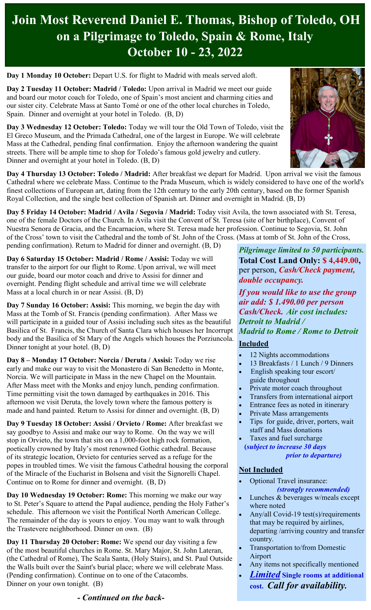# **Join Most Reverend Daniel E. Thomas, Bishop of Toledo, OH on a Pilgrimage to Toledo, Spain & Rome, Italy October 10 - 23, 2022**

**Day 1 Monday 10 October:** Depart U.S. for flight to Madrid with meals served aloft.

**Day 2 Tuesday 11 October: Madrid / Toledo:** Upon arrival in Madrid we meet our guide and board our motor coach for Toledo, one of Spain's most ancient and charming cities and our sister city. Celebrate Mass at Santo Tomé or one of the other local churches in Toledo, Spain. Dinner and overnight at your hotel in Toledo. (B, D)

**Day 3 Wednesday 12 October: Toledo:** Today we will tour the Old Town of Toledo, visit the El Greco Museum, and the Primada Cathedral, one of the largest in Europe. We will celebrate Mass at the Cathedral, pending final confirmation. Enjoy the afternoon wandering the quaint streets. There will be ample time to shop for Toledo's famous gold jewelry and cutlery. Dinner and overnight at your hotel in Toledo. (B, D)



**Day 4 Thursday 13 October: Toledo / Madrid:** After breakfast we depart for Madrid. Upon arrival we visit the famous Cathedral where we celebrate Mass. Continue to the Prada Museum, which is widely considered to have one of the world's finest collections of European art, dating from the 12th century to the early 20th century, based on the former Spanish Royal Collection, and the single best collection of Spanish art. Dinner and overnight in Madrid. (B, D)

**Day 5 Friday 14 October: Madrid / Avila / Segovia / Madrid:** Today visit Avila, the town associated with St. Teresa, one of the female Doctors of the Church. In Avila visit the Convent of St. Teresa (site of her birthplace), Convent of Nuestra Senora de Gracia, and the Encarnacion, where St. Teresa made her profession. Continue to Segovia, St. John of the Cross' town to visit the Cathedral and the tomb of St. John of the Cross. (Mass at tomb of St. John of the Cross, pending confirmation). Return to Madrid for dinner and overnight. (B, D)

**Day 6 Saturday 15 October: Madrid / Rome / Assisi:** Today we will

transfer to the airport for our flight to Rome. Upon arrival, we will meet our guide, board our motor coach and drive to Assisi for dinner and overnight. Pending flight schedule and arrival time we will celebrate Mass at a local church in or near Assisi. (B, D)

**Day 7 Sunday 16 October: Assisi:** This morning, we begin the day with Mass at the Tomb of St. Francis (pending confirmation). After Mass we will participate in a guided tour of Assisi including such sites as the beautiful Basilica of St. Francis, the Church of Santa Clara which houses her Incorrupt body and the Basilica of St Mary of the Angels which houses the Porziuncola. Dinner tonight at your hotel. (B, D)

**Day 8 – Monday 17 October: Norcia / Deruta / Assisi:** Today we rise early and make our way to visit the Monastero di San Benedetto in Monte, Norcia. We will participate in Mass in the new Chapel on the Mountain. After Mass meet with the Monks and enjoy lunch, pending confirmation. Time permitting visit the town damaged by earthquakes in 2016. This afternoon we visit Deruta, the lovely town where the famous pottery is made and hand painted. Return to Assisi for dinner and overnight. (B, D)

**Day 9 Tuesday 18 October: Assisi / Orvieto / Rome:** After breakfast we say goodbye to Assisi and make our way to Rome. On the way we will stop in Orvieto, the town that sits on a 1,000-foot high rock formation, poetically crowned by Italy's most renowned Gothic cathedral. Because of its strategic location, Orvieto for centuries served as a refuge for the popes in troubled times. We visit the famous Cathedral housing the corporal of the Miracle of the Eucharist in Bolsena and visit the Signorelli Chapel. Continue on to Rome for dinner and overnight. (B, D)

**Day 10 Wednesday 19 October: Rome:** This morning we make our way to St. Peter's Square to attend the Papal audience, pending the Holy Father's schedule. This afternoon we visit the Pontifical North American College. The remainder of the day is yours to enjoy. You may want to walk through the Trastevere neighborhood. Dinner on own. (B)

**Day 11 Thursday 20 October: Rome:** We spend our day visiting a few of the most beautiful churches in Rome. St. Mary Major, St. John Lateran, (the Cathedral of Rome), The Scala Santa, (Holy Stairs), and St. Paul Outside the Walls built over the Saint's burial place; where we will celebrate Mass. (Pending confirmation). Continue on to one of the Catacombs. Dinner on your own tonight. (B)

#### *- Continued on the back-*

*Pilgrimage limited to 50 participants.* **Total Cost Land Only: \$ 4,449.00,** per person, *Cash/Check payment, double occupancy.*

*If you would like to use the group air add: \$ 1.490.00 per person Cash/Check. Air cost includes: Detroit to Madrid / Madrid to Rome / Rome to Detroit*

### **Included**

- 12 Nights accommodations
- 13 Breakfasts / 1 Lunch / 9 Dinners English speaking tour escort/
- guide throughout
- Private motor coach throughout
- Transfers from international airport
- Entrance fees as noted in itinerary
- Private Mass arrangements
- Tips for guide, driver, porters, wait staff and Mass donations
- Taxes and fuel surcharge **(***subject to increase 30 days prior to departure)*

### **Not Included**

- Optional Travel insurance:  *(strongly recommended)*
- Lunches & beverages w/meals except where noted
- Any/all Covid-19 test(s)/requirements that may be required by airlines, departing /arriving country and transfer country.
- Transportation to/from Domestic Airport
- Any items not specifically mentioned
- *Limited* **Single rooms at additional cost.** *Call for availability.*